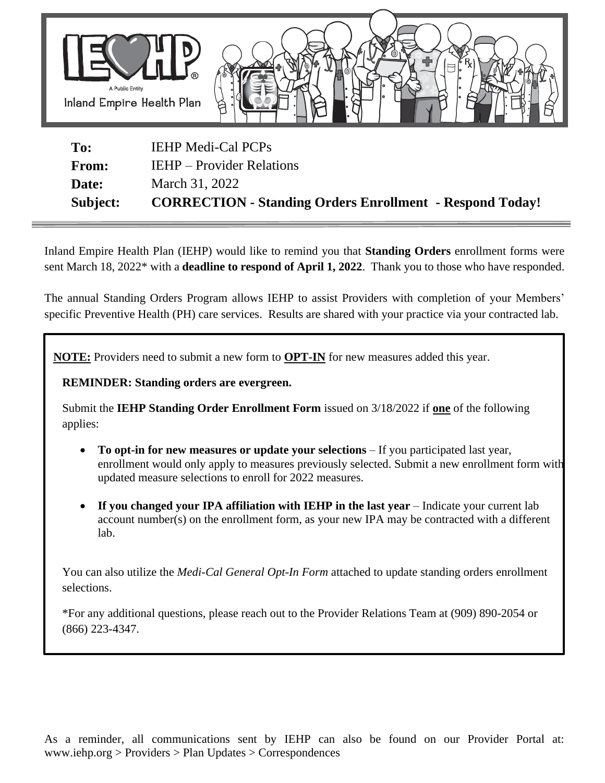

| Subject:     | <b>CORRECTION - Standing Orders Enrollment - Respond Today!</b> |
|--------------|-----------------------------------------------------------------|
| Date:        | March 31, 2022                                                  |
| <b>From:</b> | <b>IEHP</b> – Provider Relations                                |
| To:          | <b>IEHP Medi-Cal PCPs</b>                                       |

Inland Empire Health Plan (IEHP) would like to remind you that **Standing Orders** enrollment forms were sent March 18, 2022\* with a **deadline to respond of April 1, 2022**. Thank you to those who have responded.

The annual Standing Orders Program allows IEHP to assist Providers with completion of your Members' specific Preventive Health (PH) care services. Results are shared with your practice via your contracted lab.

 **NOTE:** Providers need to submit a new form to **OPT-IN** for new measures added this year.

**REMINDER: Standing orders are evergreen.**

Submit the **IEHP Standing Order Enrollment Form** issued on 3/18/2022 if **one** of the following applies:

- **To opt-in for new measures or update your selections** If you participated last year, enrollment would only apply to measures previously selected. Submit a new enrollment form with updated measure selections to enroll for 2022 measures.
- **If you changed your IPA affiliation with IEHP in the last year** Indicate your current lab account number(s) on the enrollment form, as your new IPA may be contracted with a different lab.

You can also utilize the *Medi-Cal General Opt-In Form* attached to update standing orders enrollment selections.

\*For any additional questions, please reach out to the Provider Relations Team at (909) 890-2054 or (866) 223-4347.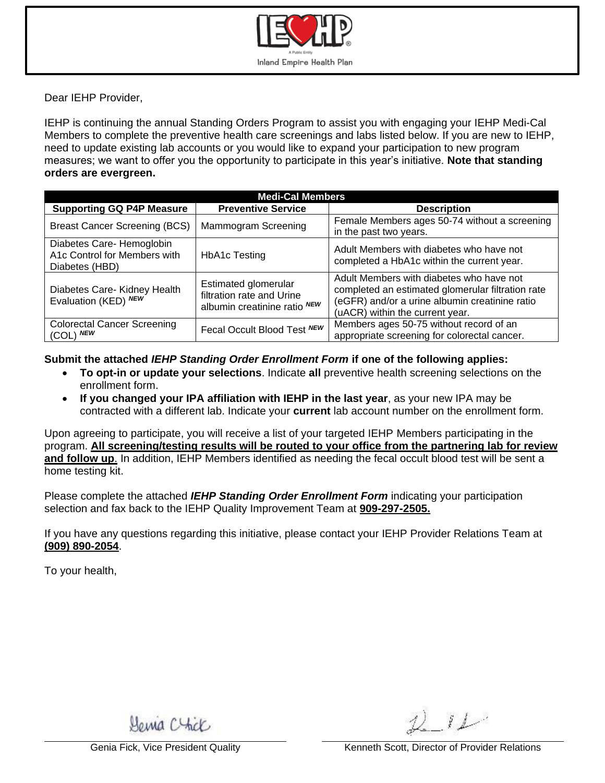

Dear IEHP Provider,

IEHP is continuing the annual Standing Orders Program to assist you with engaging your IEHP Medi-Cal Members to complete the preventive health care screenings and labs listed below. If you are new to IEHP, need to update existing lab accounts or you would like to expand your participation to new program measures; we want to offer you the opportunity to participate in this year's initiative. **Note that standing orders are evergreen.**

| <b>Medi-Cal Members</b>                                                     |                                                                                   |                                                                                                                                                                                    |  |  |  |  |
|-----------------------------------------------------------------------------|-----------------------------------------------------------------------------------|------------------------------------------------------------------------------------------------------------------------------------------------------------------------------------|--|--|--|--|
| <b>Supporting GQ P4P Measure</b>                                            | <b>Preventive Service</b>                                                         | <b>Description</b>                                                                                                                                                                 |  |  |  |  |
| <b>Breast Cancer Screening (BCS)</b>                                        | Mammogram Screening                                                               | Female Members ages 50-74 without a screening<br>in the past two years.                                                                                                            |  |  |  |  |
| Diabetes Care- Hemoglobin<br>A1c Control for Members with<br>Diabetes (HBD) | <b>HbA1c Testing</b>                                                              | Adult Members with diabetes who have not<br>completed a HbA1c within the current year.                                                                                             |  |  |  |  |
| Diabetes Care- Kidney Health<br>Evaluation (KED) NEW                        | Estimated glomerular<br>filtration rate and Urine<br>albumin creatinine ratio NEW | Adult Members with diabetes who have not<br>completed an estimated glomerular filtration rate<br>(eGFR) and/or a urine albumin creatinine ratio<br>(uACR) within the current year. |  |  |  |  |
| <b>Colorectal Cancer Screening</b><br>$(COL)$ NEW                           | Fecal Occult Blood Test NEW                                                       | Members ages 50-75 without record of an<br>appropriate screening for colorectal cancer.                                                                                            |  |  |  |  |

**Submit the attached** *IEHP Standing Order Enrollment Form* **if one of the following applies:**

- **To opt-in or update your selections**. Indicate **all** preventive health screening selections on the enrollment form.
- **If you changed your IPA affiliation with IEHP in the last year**, as your new IPA may be contracted with a different lab. Indicate your **current** lab account number on the enrollment form.

Upon agreeing to participate, you will receive a list of your targeted IEHP Members participating in the program. **All screening/testing results will be routed to your office from the partnering lab for review and follow up**. In addition, IEHP Members identified as needing the fecal occult blood test will be sent a home testing kit.

Please complete the attached *IEHP Standing Order Enrollment Form* indicating your participation selection and fax back to the IEHP Quality Improvement Team at **909-297-2505.**

If you have any questions regarding this initiative, please contact your IEHP Provider Relations Team at **(909) 890-2054**.

To your health,

Homa Chick

 $i\mathcal{L}$